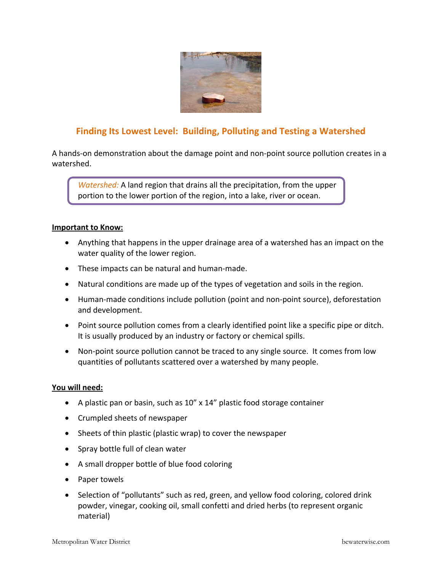

# **Finding Its Lowest Level: Building, Polluting and Testing a Watershed**

A hands‐on demonstration about the damage point and non‐point source pollution creates in a watershed.

*Watershed:* A land region that drains all the precipitation, from the upper portion to the lower portion of the region, into a lake, river or ocean.

#### **Important to Know:**

- Anything that happens in the upper drainage area of a watershed has an impact on the water quality of the lower region.
- These impacts can be natural and human‐made.
- Natural conditions are made up of the types of vegetation and soils in the region.
- Human‐made conditions include pollution (point and non‐point source), deforestation and development.
- Point source pollution comes from a clearly identified point like a specific pipe or ditch. It is usually produced by an industry or factory or chemical spills.
- Non-point source pollution cannot be traced to any single source. It comes from low quantities of pollutants scattered over a watershed by many people.

## **You will need:**

- A plastic pan or basin, such as 10" x 14" plastic food storage container
- Crumpled sheets of newspaper
- Sheets of thin plastic (plastic wrap) to cover the newspaper
- Spray bottle full of clean water
- A small dropper bottle of blue food coloring
- Paper towels
- Selection of "pollutants" such as red, green, and yellow food coloring, colored drink powder, vinegar, cooking oil, small confetti and dried herbs (to represent organic material)